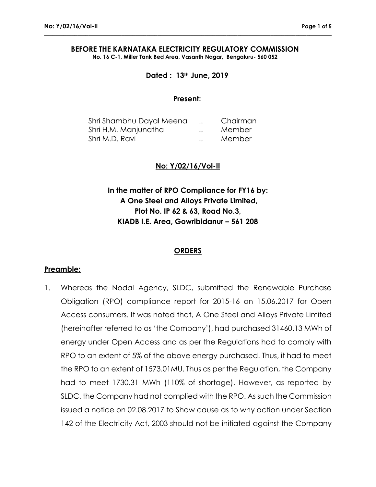#### **BEFORE THE KARNATAKA ELECTRICITY REGULATORY COMMISSION No. 16 C-1, Miller Tank Bed Area, Vasanth Nagar, Bengaluru- 560 052**

**\_\_\_\_\_\_\_\_\_\_\_\_\_\_\_\_\_\_\_\_\_\_\_\_\_\_\_\_\_\_\_\_\_\_\_\_\_\_\_\_\_\_\_\_\_\_\_\_\_\_\_\_\_\_\_\_\_\_\_\_\_\_\_\_\_\_\_\_\_\_\_\_\_\_\_\_\_\_\_\_\_\_\_\_\_\_\_\_\_\_\_\_\_\_\_\_\_\_\_\_\_\_\_\_**

## **Dated : 13th June, 2019**

## **Present:**

| Shri Shambhu Dayal Meena |                      | Chairman |
|--------------------------|----------------------|----------|
| Shri H.M. Manjunatha     | $\ddot{\phantom{a}}$ | Member   |
| Shri M.D. Ravi           | $\ddot{\phantom{a}}$ | Member   |

### **No: Y/02/16/Vol-II**

**In the matter of RPO Compliance for FY16 by: A One Steel and Alloys Private Limited, Plot No. IP 62 & 63, Road No.3, KIADB I.E. Area, Gowribidanur – 561 208**

### **ORDERS**

## **Preamble:**

1. Whereas the Nodal Agency, SLDC, submitted the Renewable Purchase Obligation (RPO) compliance report for 2015-16 on 15.06.2017 for Open Access consumers. It was noted that, A One Steel and Alloys Private Limited (hereinafter referred to as 'the Company'), had purchased 31460.13 MWh of energy under Open Access and as per the Regulations had to comply with RPO to an extent of 5% of the above energy purchased. Thus, it had to meet the RPO to an extent of 1573.01MU. Thus as per the Regulation, the Company had to meet 1730.31 MWh (110% of shortage). However, as reported by SLDC, the Company had not complied with the RPO. As such the Commission issued a notice on 02.08.2017 to Show cause as to why action under Section 142 of the Electricity Act, 2003 should not be initiated against the Company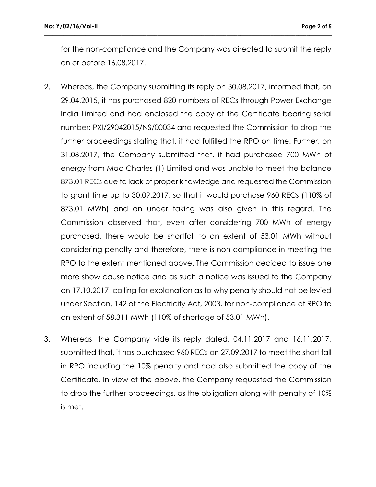for the non-compliance and the Company was directed to submit the reply on or before 16.08.2017.

**\_\_\_\_\_\_\_\_\_\_\_\_\_\_\_\_\_\_\_\_\_\_\_\_\_\_\_\_\_\_\_\_\_\_\_\_\_\_\_\_\_\_\_\_\_\_\_\_\_\_\_\_\_\_\_\_\_\_\_\_\_\_\_\_\_\_\_\_\_\_\_\_\_\_\_\_\_\_\_\_\_\_\_\_\_\_\_\_\_\_\_\_\_\_\_\_\_\_\_\_\_\_\_\_**

- 2. Whereas, the Company submitting its reply on 30.08.2017, informed that, on 29.04.2015, it has purchased 820 numbers of RECs through Power Exchange India Limited and had enclosed the copy of the Certificate bearing serial number: PXI/29042015/NS/00034 and requested the Commission to drop the further proceedings stating that, it had fulfilled the RPO on time. Further, on 31.08.2017, the Company submitted that, it had purchased 700 MWh of energy from Mac Charles (1) Limited and was unable to meet the balance 873.01 RECs due to lack of proper knowledge and requested the Commission to grant time up to 30.09.2017, so that it would purchase 960 RECs (110% of 873.01 MWh) and an under taking was also given in this regard. The Commission observed that, even after considering 700 MWh of energy purchased, there would be shortfall to an extent of 53.01 MWh without considering penalty and therefore, there is non-compliance in meeting the RPO to the extent mentioned above. The Commission decided to issue one more show cause notice and as such a notice was issued to the Company on 17.10.2017, calling for explanation as to why penalty should not be levied under Section, 142 of the Electricity Act, 2003, for non-compliance of RPO to an extent of 58.311 MWh (110% of shortage of 53.01 MWh).
- 3. Whereas, the Company vide its reply dated, 04.11.2017 and 16.11.2017, submitted that, it has purchased 960 RECs on 27.09.2017 to meet the short fall in RPO including the 10% penalty and had also submitted the copy of the Certificate. In view of the above, the Company requested the Commission to drop the further proceedings, as the obligation along with penalty of 10% is met.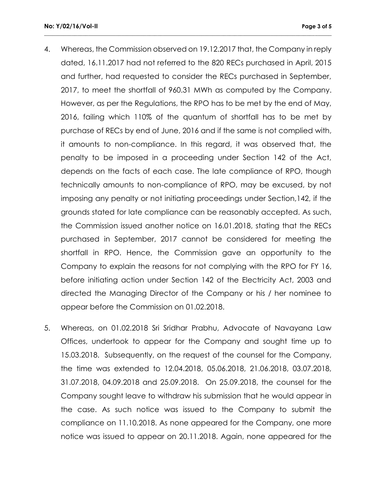4. Whereas, the Commission observed on 19.12.2017 that, the Company in reply dated, 16.11.2017 had not referred to the 820 RECs purchased in April, 2015 and further, had requested to consider the RECs purchased in September, 2017, to meet the shortfall of 960.31 MWh as computed by the Company. However, as per the Regulations, the RPO has to be met by the end of May, 2016, failing which 110% of the quantum of shortfall has to be met by purchase of RECs by end of June, 2016 and if the same is not complied with, it amounts to non-compliance. In this regard, it was observed that, the penalty to be imposed in a proceeding under Section 142 of the Act, depends on the facts of each case. The late compliance of RPO, though technically amounts to non-compliance of RPO, may be excused, by not imposing any penalty or not initiating proceedings under Section,142, if the grounds stated for late compliance can be reasonably accepted. As such, the Commission issued another notice on 16.01.2018, stating that the RECs purchased in September, 2017 cannot be considered for meeting the shortfall in RPO. Hence, the Commission gave an opportunity to the Company to explain the reasons for not complying with the RPO for FY 16, before initiating action under Section 142 of the Electricity Act, 2003 and directed the Managing Director of the Company or his / her nominee to appear before the Commission on 01.02.2018.

**\_\_\_\_\_\_\_\_\_\_\_\_\_\_\_\_\_\_\_\_\_\_\_\_\_\_\_\_\_\_\_\_\_\_\_\_\_\_\_\_\_\_\_\_\_\_\_\_\_\_\_\_\_\_\_\_\_\_\_\_\_\_\_\_\_\_\_\_\_\_\_\_\_\_\_\_\_\_\_\_\_\_\_\_\_\_\_\_\_\_\_\_\_\_\_\_\_\_\_\_\_\_\_\_**

5. Whereas, on 01.02.2018 Sri Sridhar Prabhu, Advocate of Navayana Law Offices, undertook to appear for the Company and sought time up to 15.03.2018. Subsequently, on the request of the counsel for the Company, the time was extended to 12.04.2018, 05.06.2018, 21.06.2018, 03.07.2018, 31.07.2018, 04.09.2018 and 25.09.2018. On 25.09.2018, the counsel for the Company sought leave to withdraw his submission that he would appear in the case. As such notice was issued to the Company to submit the compliance on 11.10.2018. As none appeared for the Company, one more notice was issued to appear on 20.11.2018. Again, none appeared for the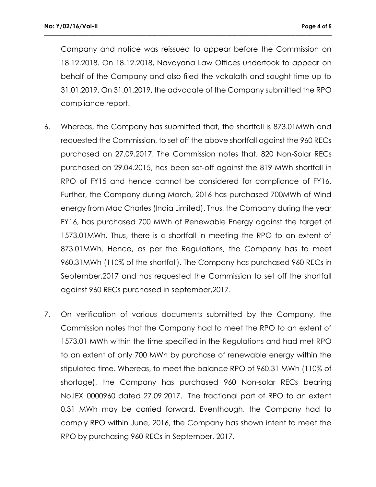Company and notice was reissued to appear before the Commission on 18.12.2018. On 18.12.2018, Navayana Law Offices undertook to appear on behalf of the Company and also filed the vakalath and sought time up to 31.01.2019. On 31.01.2019, the advocate of the Company submitted the RPO compliance report.

**\_\_\_\_\_\_\_\_\_\_\_\_\_\_\_\_\_\_\_\_\_\_\_\_\_\_\_\_\_\_\_\_\_\_\_\_\_\_\_\_\_\_\_\_\_\_\_\_\_\_\_\_\_\_\_\_\_\_\_\_\_\_\_\_\_\_\_\_\_\_\_\_\_\_\_\_\_\_\_\_\_\_\_\_\_\_\_\_\_\_\_\_\_\_\_\_\_\_\_\_\_\_\_\_**

- 6. Whereas, the Company has submitted that, the shortfall is 873.01MWh and requested the Commission, to set off the above shortfall against the 960 RECs purchased on 27.09.2017. The Commission notes that, 820 Non-Solar RECs purchased on 29.04.2015, has been set-off against the 819 MWh shortfall in RPO of FY15 and hence cannot be considered for compliance of FY16. Further, the Company during March, 2016 has purchased 700MWh of Wind energy from Mac Charles (India Limited). Thus, the Company during the year FY16, has purchased 700 MWh of Renewable Energy against the target of 1573.01MWh. Thus, there is a shortfall in meeting the RPO to an extent of 873.01MWh. Hence, as per the Regulations, the Company has to meet 960.31MWh (110% of the shortfall). The Company has purchased 960 RECs in September,2017 and has requested the Commission to set off the shortfall against 960 RECs purchased in september,2017.
- 7. On verification of various documents submitted by the Company, the Commission notes that the Company had to meet the RPO to an extent of 1573.01 MWh within the time specified in the Regulations and had met RPO to an extent of only 700 MWh by purchase of renewable energy within the stipulated time. Whereas, to meet the balance RPO of 960.31 MWh (110% of shortage), the Company has purchased 960 Non-solar RECs bearing No.IEX\_0000960 dated 27.09.2017. The fractional part of RPO to an extent 0.31 MWh may be carried forward. Eventhough, the Company had to comply RPO within June, 2016, the Company has shown intent to meet the RPO by purchasing 960 RECs in September, 2017.